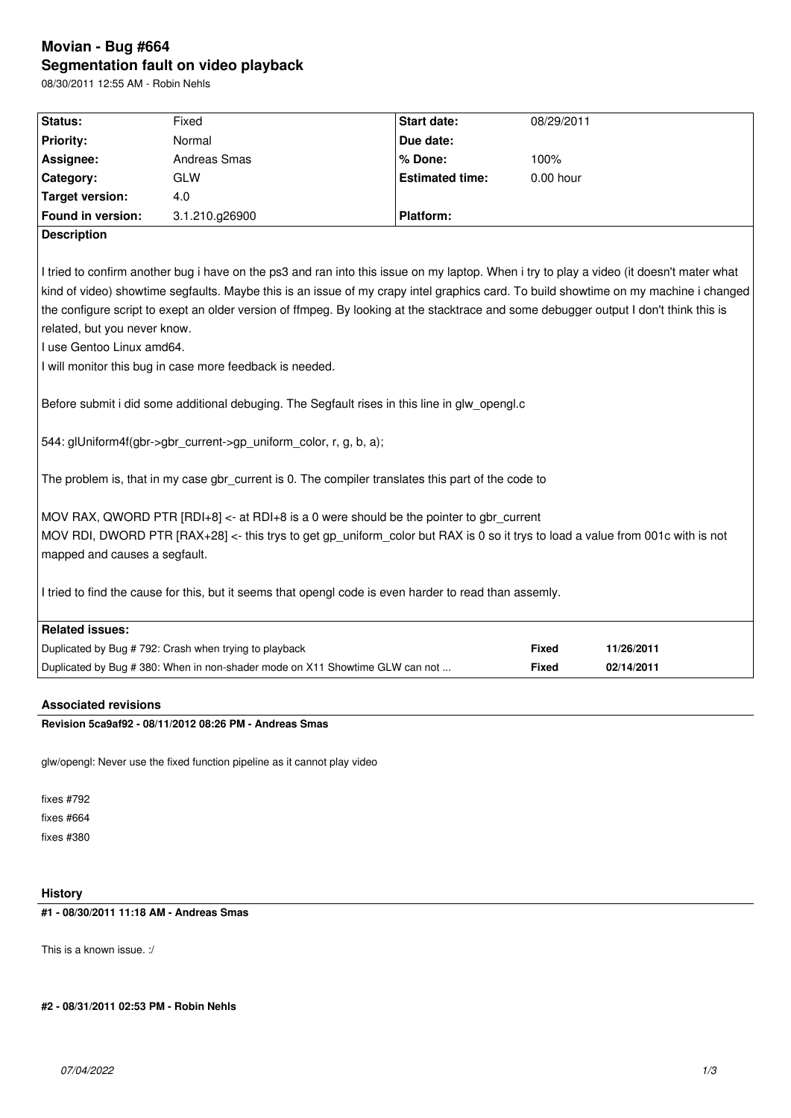# **Movian - Bug #664 Segmentation fault on video playback**

08/30/2011 12:55 AM - Robin Nehls

| <b>Status:</b>                                                                                                                                                                                                                                                                                                                                                                                                                                                                                                                                                                                                                                                                                                           | Fixed                                                                        | <b>Start date:</b>     | 08/29/2011   |            |
|--------------------------------------------------------------------------------------------------------------------------------------------------------------------------------------------------------------------------------------------------------------------------------------------------------------------------------------------------------------------------------------------------------------------------------------------------------------------------------------------------------------------------------------------------------------------------------------------------------------------------------------------------------------------------------------------------------------------------|------------------------------------------------------------------------------|------------------------|--------------|------------|
| <b>Priority:</b>                                                                                                                                                                                                                                                                                                                                                                                                                                                                                                                                                                                                                                                                                                         | Normal                                                                       | Due date:              |              |            |
| Assignee:                                                                                                                                                                                                                                                                                                                                                                                                                                                                                                                                                                                                                                                                                                                | <b>Andreas Smas</b>                                                          | % Done:                | 100%         |            |
| Category:                                                                                                                                                                                                                                                                                                                                                                                                                                                                                                                                                                                                                                                                                                                | <b>GLW</b>                                                                   | <b>Estimated time:</b> | $0.00$ hour  |            |
| <b>Target version:</b>                                                                                                                                                                                                                                                                                                                                                                                                                                                                                                                                                                                                                                                                                                   | 4.0                                                                          |                        |              |            |
| Found in version:                                                                                                                                                                                                                                                                                                                                                                                                                                                                                                                                                                                                                                                                                                        | 3.1.210.g26900                                                               | <b>Platform:</b>       |              |            |
| <b>Description</b>                                                                                                                                                                                                                                                                                                                                                                                                                                                                                                                                                                                                                                                                                                       |                                                                              |                        |              |            |
| I tried to confirm another bug i have on the ps3 and ran into this issue on my laptop. When i try to play a video (it doesn't mater what<br>kind of video) showtime segfaults. Maybe this is an issue of my crapy intel graphics card. To build showtime on my machine i changed<br>the configure script to exept an older version of ffmpeg. By looking at the stacktrace and some debugger output I don't think this is<br>related, but you never know.<br>I use Gentoo Linux amd64.<br>I will monitor this bug in case more feedback is needed.<br>Before submit i did some additional debuging. The Segfault rises in this line in glw opengl.c<br>544: glUniform4f(gbr->gbr_current->gp_uniform_color, r, g, b, a); |                                                                              |                        |              |            |
| The problem is, that in my case gbr_current is 0. The compiler translates this part of the code to                                                                                                                                                                                                                                                                                                                                                                                                                                                                                                                                                                                                                       |                                                                              |                        |              |            |
| MOV RAX, QWORD PTR $[RDI+8] \lt\text{-}$ at RDI+8 is a 0 were should be the pointer to gbr current<br>MOV RDI, DWORD PTR [RAX+28] <- this trys to get gp uniform color but RAX is 0 so it trys to load a value from 001c with is not<br>mapped and causes a segfault.                                                                                                                                                                                                                                                                                                                                                                                                                                                    |                                                                              |                        |              |            |
| I tried to find the cause for this, but it seems that opengl code is even harder to read than assemly.                                                                                                                                                                                                                                                                                                                                                                                                                                                                                                                                                                                                                   |                                                                              |                        |              |            |
| <b>Related issues:</b>                                                                                                                                                                                                                                                                                                                                                                                                                                                                                                                                                                                                                                                                                                   |                                                                              |                        |              |            |
|                                                                                                                                                                                                                                                                                                                                                                                                                                                                                                                                                                                                                                                                                                                          | Duplicated by Bug #792: Crash when trying to playback                        |                        | <b>Fixed</b> | 11/26/2011 |
|                                                                                                                                                                                                                                                                                                                                                                                                                                                                                                                                                                                                                                                                                                                          | Duplicated by Bug # 380: When in non-shader mode on X11 Showtime GLW can not |                        | <b>Fixed</b> | 02/14/2011 |

# **Associated revisions**

**Revision 5ca9af92 - 08/11/2012 08:26 PM - Andreas Smas**

glw/opengl: Never use the fixed function pipeline as it cannot play video

fixes #792 fixes #664 fixes #380

# **History**

**#1 - 08/30/2011 11:18 AM - Andreas Smas**

This is a known issue. :/

**#2 - 08/31/2011 02:53 PM - Robin Nehls**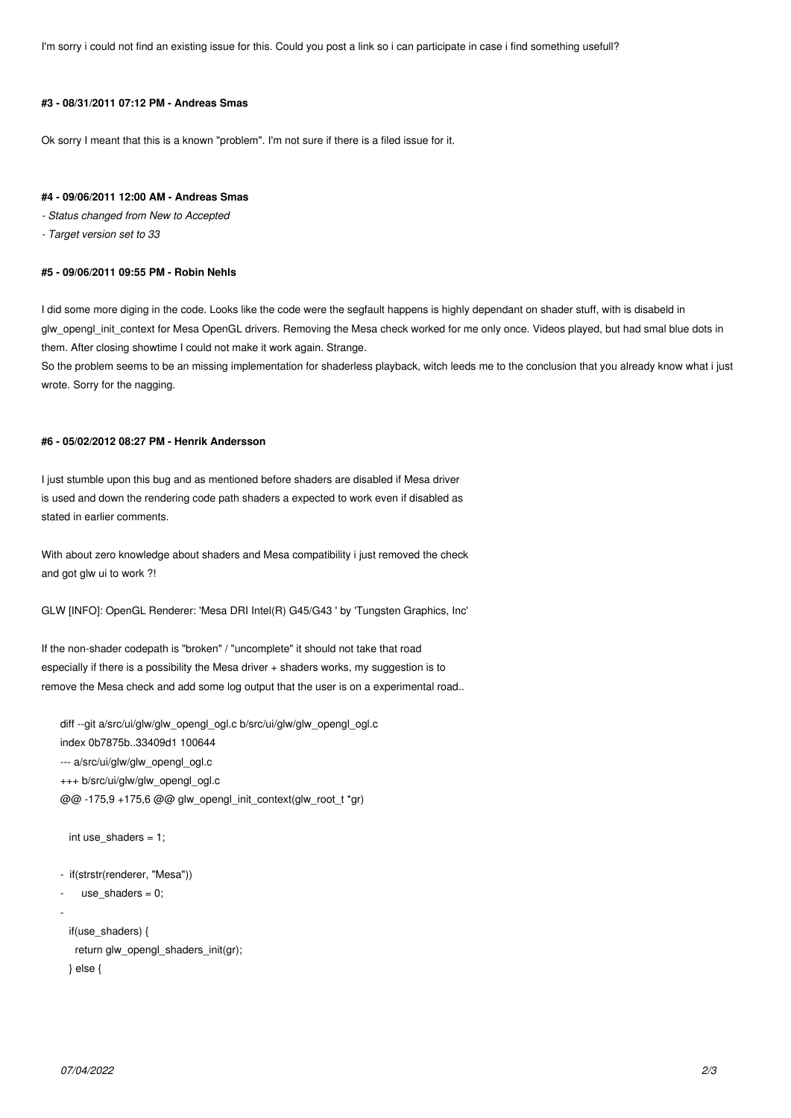I'm sorry i could not find an existing issue for this. Could you post a link so i can participate in case i find something usefull?

#### **#3 - 08/31/2011 07:12 PM - Andreas Smas**

Ok sorry I meant that this is a known "problem". I'm not sure if there is a filed issue for it.

#### **#4 - 09/06/2011 12:00 AM - Andreas Smas**

- *Status changed from New to Accepted*
- *Target version set to 33*

#### **#5 - 09/06/2011 09:55 PM - Robin Nehls**

I did some more diging in the code. Looks like the code were the segfault happens is highly dependant on shader stuff, with is disabeld in glw opengl init context for Mesa OpenGL drivers. Removing the Mesa check worked for me only once. Videos played, but had smal blue dots in them. After closing showtime I could not make it work again. Strange.

So the problem seems to be an missing implementation for shaderless playback, witch leeds me to the conclusion that you already know what i just wrote. Sorry for the nagging.

#### **#6 - 05/02/2012 08:27 PM - Henrik Andersson**

I just stumble upon this bug and as mentioned before shaders are disabled if Mesa driver is used and down the rendering code path shaders a expected to work even if disabled as stated in earlier comments.

With about zero knowledge about shaders and Mesa compatibility i just removed the check and got glw ui to work ?!

GLW [INFO]: OpenGL Renderer: 'Mesa DRI Intel(R) G45/G43 ' by 'Tungsten Graphics, Inc'

If the non-shader codepath is "broken" / "uncomplete" it should not take that road especially if there is a possibility the Mesa driver + shaders works, my suggestion is to remove the Mesa check and add some log output that the user is on a experimental road..

```
diff --git a/src/ui/glw/glw_opengl_ogl.c b/src/ui/glw/glw_opengl_ogl.c
index 0b7875b..33409d1 100644
--- a/src/ui/glw/glw_opengl_ogl.c
+++ b/src/ui/glw/glw_opengl_ogl.c
@@ -175,9 +175,6 @@ glw_opengl_init_context(glw_root_t *gr)
   int use_shaders = 1;
```

```
- if(strstr(renderer, "Mesa"))
```

```
use\_shaders = 0;
```

```
-
```

```
 if(use_shaders) {
  return glw_opengl_shaders_init(gr);
 } else {
```